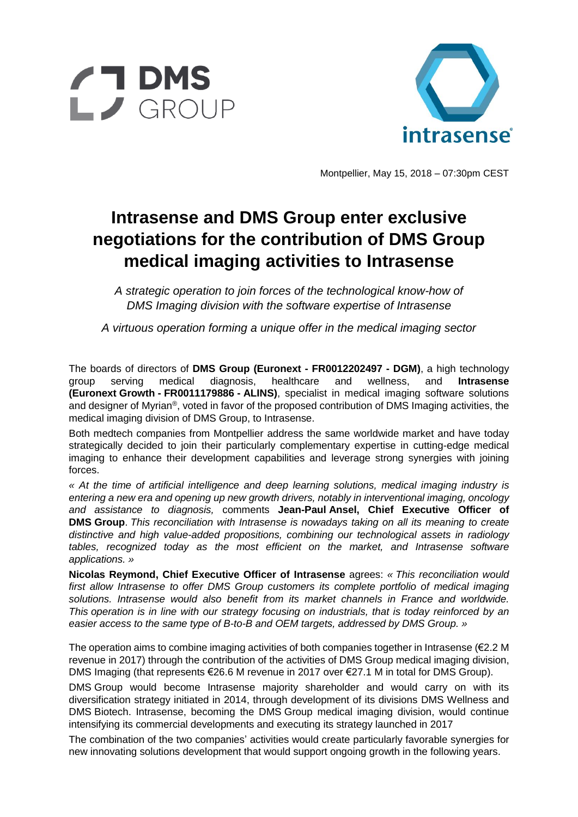



Montpellier, May 15, 2018 – 07:30pm CEST

## **Intrasense and DMS Group enter exclusive negotiations for the contribution of DMS Group medical imaging activities to Intrasense**

*A strategic operation to join forces of the technological know-how of DMS Imaging division with the software expertise of Intrasense*

*A virtuous operation forming a unique offer in the medical imaging sector*

The boards of directors of **DMS Group (Euronext - FR0012202497 - DGM)**, a high technology group serving medical diagnosis, healthcare and wellness, and **Intrasense (Euronext Growth - FR0011179886 - ALINS)**, specialist in medical imaging software solutions and designer of Myrian®, voted in favor of the proposed contribution of DMS Imaging activities, the medical imaging division of DMS Group, to Intrasense.

Both medtech companies from Montpellier address the same worldwide market and have today strategically decided to join their particularly complementary expertise in cutting-edge medical imaging to enhance their development capabilities and leverage strong synergies with joining forces.

*« At the time of artificial intelligence and deep learning solutions, medical imaging industry is entering a new era and opening up new growth drivers, notably in interventional imaging, oncology and assistance to diagnosis,* comments **Jean-Paul Ansel, Chief Executive Officer of DMS Group**. *This reconciliation with Intrasense is nowadays taking on all its meaning to create distinctive and high value-added propositions, combining our technological assets in radiology tables, recognized today as the most efficient on the market, and Intrasense software applications. »*

**Nicolas Reymond, Chief Executive Officer of Intrasense** agrees: *« This reconciliation would first allow Intrasense to offer DMS Group customers its complete portfolio of medical imaging solutions. Intrasense would also benefit from its market channels in France and worldwide. This operation is in line with our strategy focusing on industrials, that is today reinforced by an easier access to the same type of B-to-B and OEM targets, addressed by DMS Group. »*

The operation aims to combine imaging activities of both companies together in Intrasense ( $\epsilon$ 2.2 M revenue in 2017) through the contribution of the activities of DMS Group medical imaging division, DMS Imaging (that represents €26.6 M revenue in 2017 over €27.1 M in total for DMS Group).

DMS Group would become Intrasense majority shareholder and would carry on with its diversification strategy initiated in 2014, through development of its divisions DMS Wellness and DMS Biotech. Intrasense, becoming the DMS Group medical imaging division, would continue intensifying its commercial developments and executing its strategy launched in 2017

The combination of the two companies' activities would create particularly favorable synergies for new innovating solutions development that would support ongoing growth in the following years.